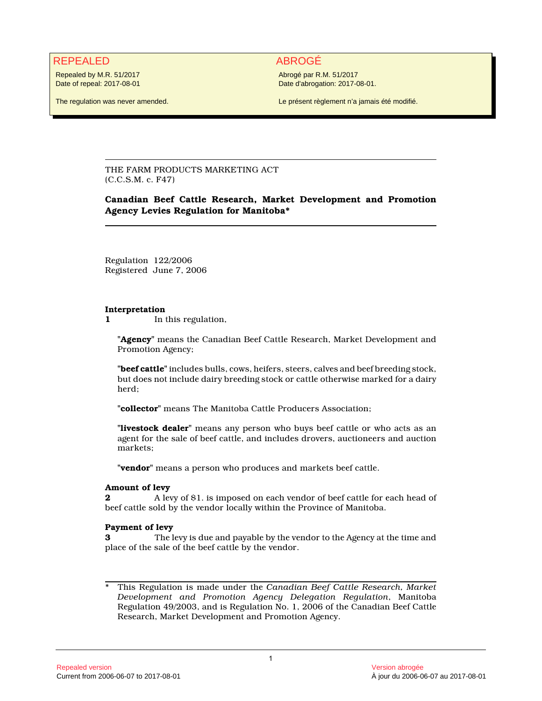# REPEALED ABROGÉ

Repealed by M.R. 51/2017 Date of repeal: 2017-08-01

The regulation was never amended.

Abrogé par R.M. 51/2017 Date d'abrogation: 2017-08-01.

Le présent règlement n'a jamais été modifié.

THE FARM PRODUCTS MARKETING ACT (C.C.S.M. c. F47)

## **Canadian Beef Cattle Research, Market Development and Promotion Agency Levies Regulation for Manitoba\***

Regulation 122/2006 Registered June 7, 2006

#### **Interpretation**

**1** In this regulation,

**"Agency"** means the Canadian Beef Cattle Research, Market Development and Promotion Agency;

**"beef cattle"** includes bulls, cows, heifers, steers, calves and beef breeding stock, but does not include dairy breeding stock or cattle otherwise marked for a dairy herd;

**"collector"** means The Manitoba Cattle Producers Association;

**"livestock dealer"** means any person who buys beef cattle or who acts as an agent for the sale of beef cattle, and includes drovers, auctioneers and auction markets;

**"vendor"** means a person who produces and markets beef cattle.

## **Amount of levy**

**2** A levy of \$1. is imposed on each vendor of beef cattle for each head of beef cattle sold by the vendor locally within the Province of Manitoba.

## **Payment of levy**

**3** The levy is due and payable by the vendor to the Agency at the time and place of the sale of the beef cattle by the vendor.

\* This Regulation is made under the *Canadian Beef Cattle Research, Market Development and Promotion Agency Delegation Regulation*, Manitoba Regulation 49/2003, and is Regulation No. 1, 2006 of the Canadian Beef Cattle Research, Market Development and Promotion Agency.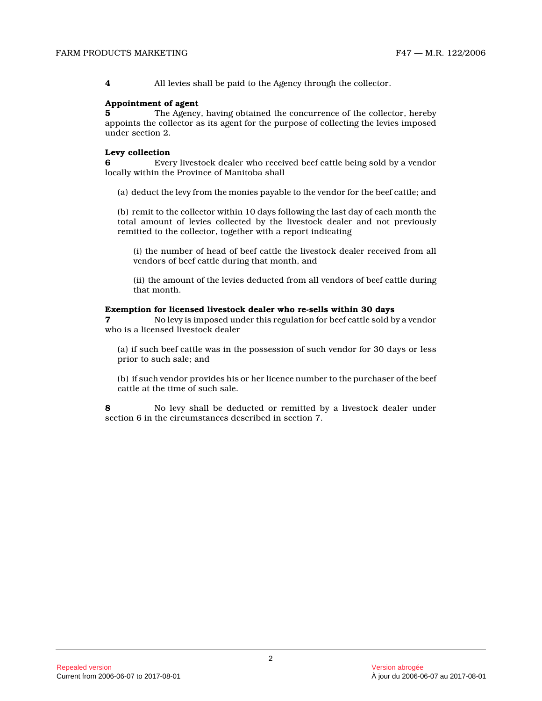**4** All levies shall be paid to the Agency through the collector.

#### **Appointment of agent**

**5** The Agency, having obtained the concurrence of the collector, hereby appoints the collector as its agent for the purpose of collecting the levies imposed under section 2.

#### **Levy collection**

**6** Every livestock dealer who received beef cattle being sold by a vendor locally within the Province of Manitoba shall

(a) deduct the levy from the monies payable to the vendor for the beef cattle; and

(b) remit to the collector within 10 days following the last day of each month the total amount of levies collected by the livestock dealer and not previously remitted to the collector, together with a report indicating

(i) the number of head of beef cattle the livestock dealer received from all vendors of beef cattle during that month, and

(ii) the amount of the levies deducted from all vendors of beef cattle during that month.

#### **Exemption for licensed livestock dealer who re-sells within 30 days**

**7** No levy is imposed under this regulation for beef cattle sold by a vendor who is a licensed livestock dealer

(a) if such beef cattle was in the possession of such vendor for 30 days or less prior to such sale; and

(b) if such vendor provides his or her licence number to the purchaser of the beef cattle at the time of such sale.

**8** No levy shall be deducted or remitted by a livestock dealer under section 6 in the circumstances described in section 7.